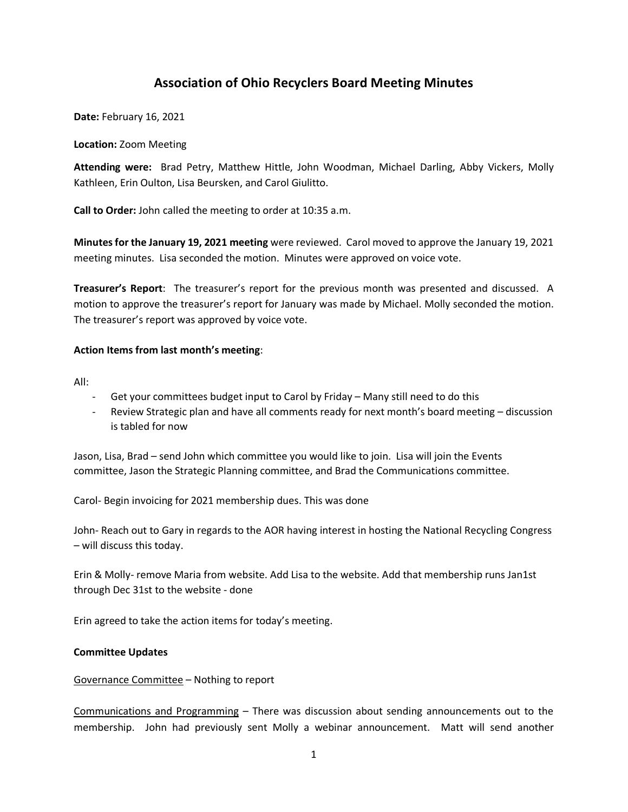# **Association of Ohio Recyclers Board Meeting Minutes**

**Date:** February 16, 2021

#### **Location:** Zoom Meeting

**Attending were:** Brad Petry, Matthew Hittle, John Woodman, Michael Darling, Abby Vickers, Molly Kathleen, Erin Oulton, Lisa Beursken, and Carol Giulitto.

**Call to Order:** John called the meeting to order at 10:35 a.m.

**Minutes for the January 19, 2021 meeting** were reviewed. Carol moved to approve the January 19, 2021 meeting minutes. Lisa seconded the motion. Minutes were approved on voice vote.

**Treasurer's Report**: The treasurer's report for the previous month was presented and discussed. A motion to approve the treasurer's report for January was made by Michael. Molly seconded the motion. The treasurer's report was approved by voice vote.

# **Action Items from last month's meeting**:

All:

- Get your committees budget input to Carol by Friday Many still need to do this
- Review Strategic plan and have all comments ready for next month's board meeting discussion is tabled for now

Jason, Lisa, Brad – send John which committee you would like to join. Lisa will join the Events committee, Jason the Strategic Planning committee, and Brad the Communications committee.

Carol- Begin invoicing for 2021 membership dues. This was done

John- Reach out to Gary in regards to the AOR having interest in hosting the National Recycling Congress – will discuss this today.

Erin & Molly- remove Maria from website. Add Lisa to the website. Add that membership runs Jan1st through Dec 31st to the website - done

Erin agreed to take the action items for today's meeting.

# **Committee Updates**

# Governance Committee – Nothing to report

Communications and Programming – There was discussion about sending announcements out to the membership. John had previously sent Molly a webinar announcement. Matt will send another